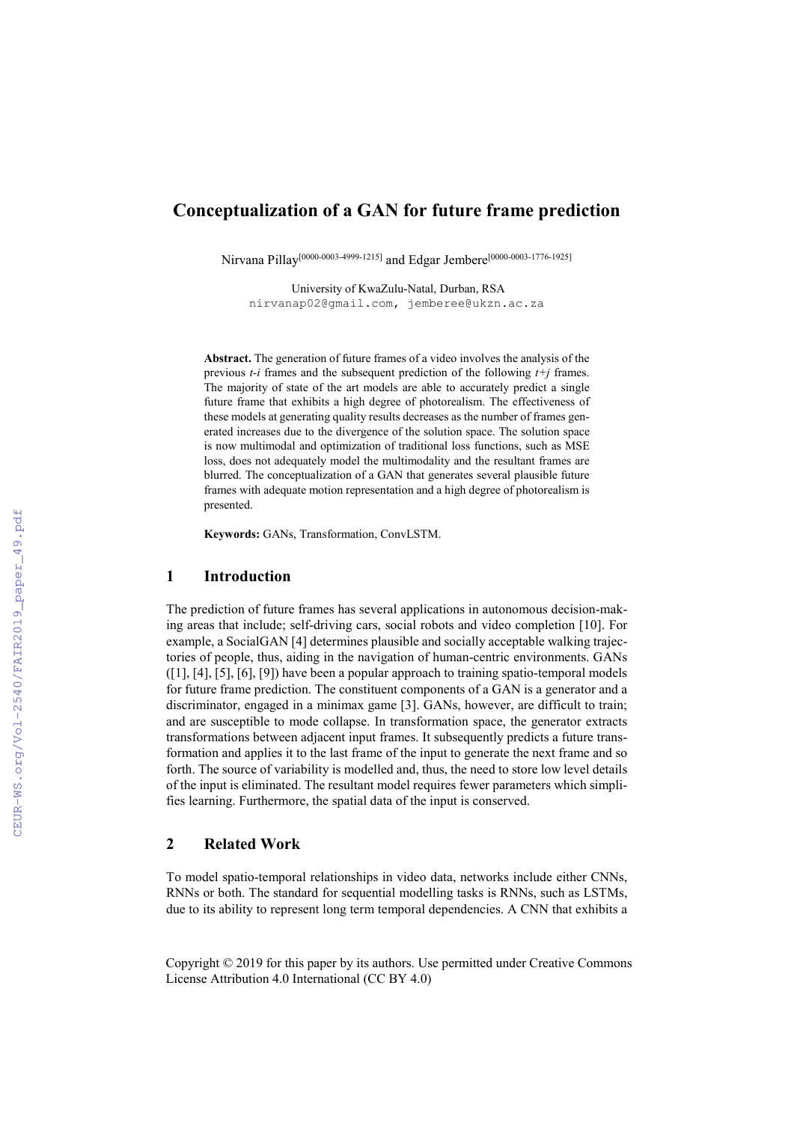# **Conceptualization of a GAN for future frame prediction**

Nirvana Pillay[0000-0003-4999-1215] and Edgar Jembere[0000-0003-1776-1925]

University of KwaZulu-Natal, Durban, RSA nirvanap02@gmail.com, jemberee@ukzn.ac.za

**Abstract.** The generation of future frames of a video involves the analysis of the previous *t-i* frames and the subsequent prediction of the following *t+j* frames. The majority of state of the art models are able to accurately predict a single future frame that exhibits a high degree of photorealism. The effectiveness of these models at generating quality results decreases as the number of frames generated increases due to the divergence of the solution space. The solution space is now multimodal and optimization of traditional loss functions, such as MSE loss, does not adequately model the multimodality and the resultant frames are blurred. The conceptualization of a GAN that generates several plausible future frames with adequate motion representation and a high degree of photorealism is presented.

**Keywords:** GANs, Transformation, ConvLSTM.

### **1 Introduction**

The prediction of future frames has several applications in autonomous decision-making areas that include; self-driving cars, social robots and video completion [10]. For example, a SocialGAN [4] determines plausible and socially acceptable walking trajectories of people, thus, aiding in the navigation of human-centric environments. GANs ([1], [4], [5], [6], [9]) have been a popular approach to training spatio-temporal models for future frame prediction. The constituent components of a GAN is a generator and a discriminator, engaged in a minimax game [3]. GANs, however, are difficult to train; and are susceptible to mode collapse. In transformation space, the generator extracts transformations between adjacent input frames. It subsequently predicts a future transformation and applies it to the last frame of the input to generate the next frame and so forth. The source of variability is modelled and, thus, the need to store low level details of the input is eliminated. The resultant model requires fewer parameters which simplifies learning. Furthermore, the spatial data of the input is conserved.

## **2 Related Work**

To model spatio-temporal relationships in video data, networks include either CNNs, RNNs or both. The standard for sequential modelling tasks is RNNs, such as LSTMs, due to its ability to represent long term temporal dependencies. A CNN that exhibits a

Copyright © 2019 for this paper by its authors. Use permitted under Creative Commons License Attribution 4.0 International (CC BY 4.0)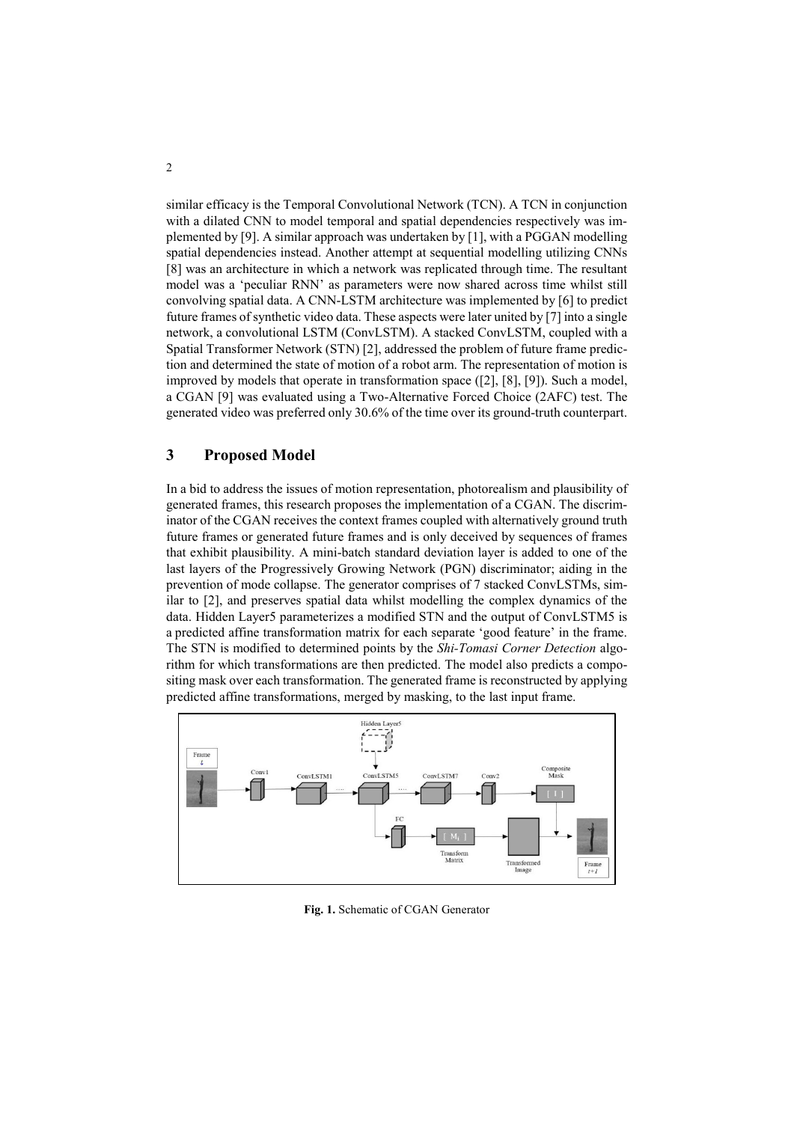similar efficacy is the Temporal Convolutional Network (TCN). A TCN in conjunction with a dilated CNN to model temporal and spatial dependencies respectively was implemented by [9]. A similar approach was undertaken by [1], with a PGGAN modelling spatial dependencies instead. Another attempt at sequential modelling utilizing CNNs [8] was an architecture in which a network was replicated through time. The resultant model was a 'peculiar RNN' as parameters were now shared across time whilst still convolving spatial data. A CNN-LSTM architecture was implemented by [6] to predict future frames of synthetic video data. These aspects were later united by [7] into a single network, a convolutional LSTM (ConvLSTM). A stacked ConvLSTM, coupled with a Spatial Transformer Network (STN) [2], addressed the problem of future frame prediction and determined the state of motion of a robot arm. The representation of motion is improved by models that operate in transformation space ([2], [8], [9]). Such a model, a CGAN [9] was evaluated using a Two-Alternative Forced Choice (2AFC) test. The generated video was preferred only 30.6% of the time over its ground-truth counterpart.

### **3 Proposed Model**

In a bid to address the issues of motion representation, photorealism and plausibility of generated frames, this research proposes the implementation of a CGAN. The discriminator of the CGAN receives the context frames coupled with alternatively ground truth future frames or generated future frames and is only deceived by sequences of frames that exhibit plausibility. A mini-batch standard deviation layer is added to one of the last layers of the Progressively Growing Network (PGN) discriminator; aiding in the prevention of mode collapse. The generator comprises of 7 stacked ConvLSTMs, similar to [2], and preserves spatial data whilst modelling the complex dynamics of the data. Hidden Layer5 parameterizes a modified STN and the output of ConvLSTM5 is a predicted affine transformation matrix for each separate 'good feature' in the frame. The STN is modified to determined points by the *Shi-Tomasi Corner Detection* algorithm for which transformations are then predicted. The model also predicts a compositing mask over each transformation. The generated frame is reconstructed by applying predicted affine transformations, merged by masking, to the last input frame.



**Fig. 1.** Schematic of CGAN Generator